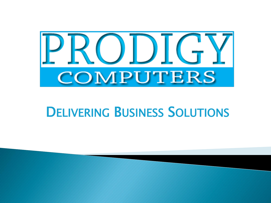

#### **DELIVERING BUSINESS SOLUTIONS**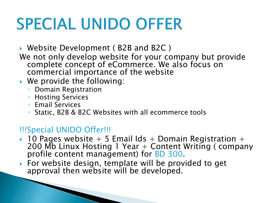# **SPECIAL UNIDO OFFER**

▶ Website Development (B2B and B2C)

- We not only develop website for your company but provide complete concept of eCommerce. We also focus on commercial importance of the website
- ▶ We provide the following:
	- Domain Registration
	- Hosting Services
	- Email Services
	- Static, B2B & B2C Websites with all ecommerce tools

#### !!!Special UNIDO Offer!!!

**The Communication of the Communication** 

- $\rightarrow$  10 Pages website + 5 Email Ids + Domain Registration + 200 Mb Linux Hosting 1 Year + Content Writing ( company profile content management) for BD 300.
- ▶ For website design, template will be provided to get approval then website will be developed.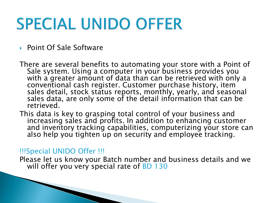# **SPECIAL UNIDO OFFER**

▶ Point Of Sale Software

There are several benefits to automating your store with a Point of Sale system. Using a computer in your business provides you with a greater amount of data than can be retrieved with only a conventional cash register. Customer purchase history, item sales detail, stock status reports, monthly, yearly, and seasonal sales data, are only some of the detail information that can be retrieved.

This data is key to grasping total control of your business and increasing sales and profits. In addition to enhancing customer and inventory tracking capabilities, computerizing your store can also help you tighten up on security and employee tracking.

#### !!!Special UNIDO Offer !!!

**The Common Street, Inc., and Inc., and Inc., and Inc., and Inc., and Inc., and Inc., and Inc., and Inc., and** 

Please let us know your Batch number and business details and we will offer you very special rate of  $BD$  130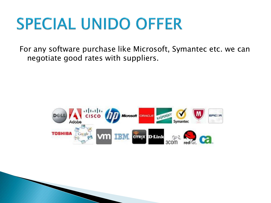### **SPECIAL UNIDO OFFER**

For any software purchase like Microsoft, Symantec etc. we can negotiate good rates with suppliers.